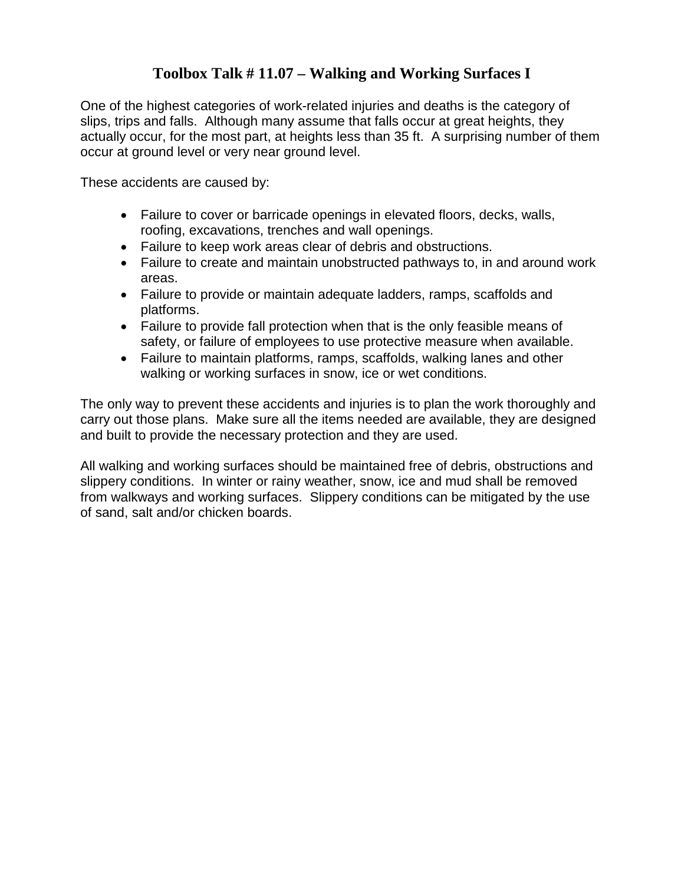## **Toolbox Talk # 11.07 – Walking and Working Surfaces I**

One of the highest categories of work-related injuries and deaths is the category of slips, trips and falls. Although many assume that falls occur at great heights, they actually occur, for the most part, at heights less than 35 ft. A surprising number of them occur at ground level or very near ground level.

These accidents are caused by:

- Failure to cover or barricade openings in elevated floors, decks, walls, roofing, excavations, trenches and wall openings.
- Failure to keep work areas clear of debris and obstructions.
- Failure to create and maintain unobstructed pathways to, in and around work areas.
- Failure to provide or maintain adequate ladders, ramps, scaffolds and platforms.
- Failure to provide fall protection when that is the only feasible means of safety, or failure of employees to use protective measure when available.
- Failure to maintain platforms, ramps, scaffolds, walking lanes and other walking or working surfaces in snow, ice or wet conditions.

The only way to prevent these accidents and injuries is to plan the work thoroughly and carry out those plans. Make sure all the items needed are available, they are designed and built to provide the necessary protection and they are used.

All walking and working surfaces should be maintained free of debris, obstructions and slippery conditions. In winter or rainy weather, snow, ice and mud shall be removed from walkways and working surfaces. Slippery conditions can be mitigated by the use of sand, salt and/or chicken boards.